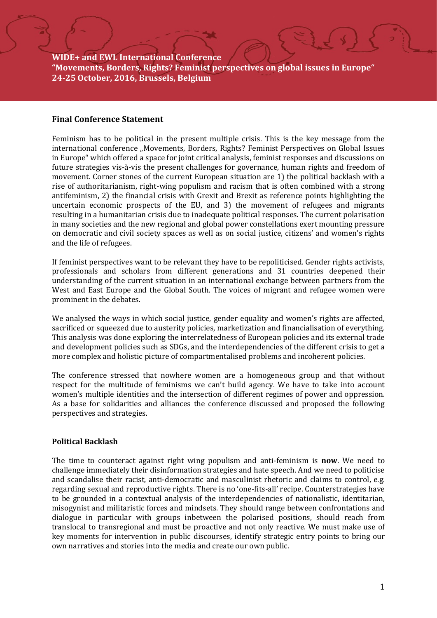WIDE+ and EWL International Conference "Movements, Borders, Rights? Feminist perspectives on global issues in Europe" 24-25 October, 2016, Brussels, Belgium

#### Final Conference Statement

Feminism has to be political in the present multiple crisis. This is the key message from the international conference "Movements, Borders, Rights? Feminist Perspectives on Global Issues in Europe" which offered a space for joint critical analysis, feminist responses and discussions on future strategies vis-à-vis the present challenges for governance, human rights and freedom of movement. Corner stones of the current European situation are 1) the political backlash with a rise of authoritarianism, right-wing populism and racism that is often combined with a strong antifeminism, 2) the financial crisis with Grexit and Brexit as reference points highlighting the uncertain economic prospects of the EU, and 3) the movement of refugees and migrants resulting in a humanitarian crisis due to inadequate political responses. The current polarisation in many societies and the new regional and global power constellations exert mounting pressure on democratic and civil society spaces as well as on social justice, citizens' and women's rights and the life of refugees.

If feminist perspectives want to be relevant they have to be repoliticised. Gender rights activists, professionals and scholars from different generations and 31 countries deepened their understanding of the current situation in an international exchange between partners from the West and East Europe and the Global South. The voices of migrant and refugee women were prominent in the debates.

We analysed the ways in which social justice, gender equality and women's rights are affected, sacrificed or squeezed due to austerity policies, marketization and financialisation of everything. This analysis was done exploring the interrelatedness of European policies and its external trade and development policies such as SDGs, and the interdependencies of the different crisis to get a more complex and holistic picture of compartmentalised problems and incoherent policies.

The conference stressed that nowhere women are a homogeneous group and that without respect for the multitude of feminisms we can't build agency. We have to take into account women's multiple identities and the intersection of different regimes of power and oppression. As a base for solidarities and alliances the conference discussed and proposed the following perspectives and strategies.

### Political Backlash

The time to counteract against right wing populism and anti-feminism is **now**. We need to challenge immediately their disinformation strategies and hate speech. And we need to politicise and scandalise their racist, anti-democratic and masculinist rhetoric and claims to control, e.g. regarding sexual and reproductive rights. There is no 'one-fits-all' recipe. Counterstrategies have to be grounded in a contextual analysis of the interdependencies of nationalistic, identitarian, misogynist and militaristic forces and mindsets. They should range between confrontations and dialogue in particular with groups inbetween the polarised positions, should reach from translocal to transregional and must be proactive and not only reactive. We must make use of key moments for intervention in public discourses, identify strategic entry points to bring our own narratives and stories into the media and create our own public.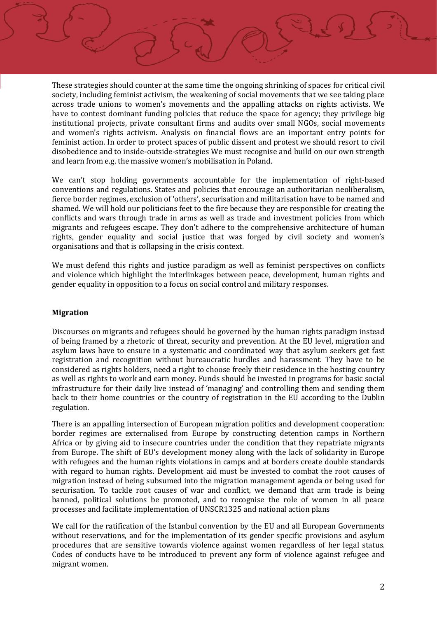These strategies should counter at the same time the ongoing shrinking of spaces for critical civil society, including feminist activism, the weakening of social movements that we see taking place across trade unions to women's movements and the appalling attacks on rights activists. We have to contest dominant funding policies that reduce the space for agency; they privilege big institutional projects, private consultant firms and audits over small NGOs, social movements and women's rights activism. Analysis on financial flows are an important entry points for feminist action. In order to protect spaces of public dissent and protest we should resort to civil disobedience and to inside-outside-strategies We must recognise and build on our own strength and learn from e.g. the massive women's mobilisation in Poland.

We can't stop holding governments accountable for the implementation of right-based conventions and regulations. States and policies that encourage an authoritarian neoliberalism, fierce border regimes, exclusion of 'others', securisation and militarisation have to be named and shamed. We will hold our politicians feet to the fire because they are responsible for creating the conflicts and wars through trade in arms as well as trade and investment policies from which migrants and refugees escape. They don't adhere to the comprehensive architecture of human rights, gender equality and social justice that was forged by civil society and women's organisations and that is collapsing in the crisis context.

We must defend this rights and justice paradigm as well as feminist perspectives on conflicts and violence which highlight the interlinkages between peace, development, human rights and gender equality in opposition to a focus on social control and military responses.

# Migration

Discourses on migrants and refugees should be governed by the human rights paradigm instead of being framed by a rhetoric of threat, security and prevention. At the EU level, migration and asylum laws have to ensure in a systematic and coordinated way that asylum seekers get fast registration and recognition without bureaucratic hurdles and harassment. They have to be considered as rights holders, need a right to choose freely their residence in the hosting country as well as rights to work and earn money. Funds should be invested in programs for basic social infrastructure for their daily live instead of 'managing' and controlling them and sending them back to their home countries or the country of registration in the EU according to the Dublin regulation.

There is an appalling intersection of European migration politics and development cooperation: border regimes are externalised from Europe by constructing detention camps in Northern Africa or by giving aid to insecure countries under the condition that they repatriate migrants from Europe. The shift of EU's development money along with the lack of solidarity in Europe with refugees and the human rights violations in camps and at borders create double standards with regard to human rights. Development aid must be invested to combat the root causes of migration instead of being subsumed into the migration management agenda or being used for securisation. To tackle root causes of war and conflict, we demand that arm trade is being banned, political solutions be promoted, and to recognise the role of women in all peace processes and facilitate implementation of UNSCR1325 and national action plans

We call for the ratification of the Istanbul convention by the EU and all European Governments without reservations, and for the implementation of its gender specific provisions and asylum procedures that are sensitive towards violence against women regardless of her legal status. Codes of conducts have to be introduced to prevent any form of violence against refugee and migrant women.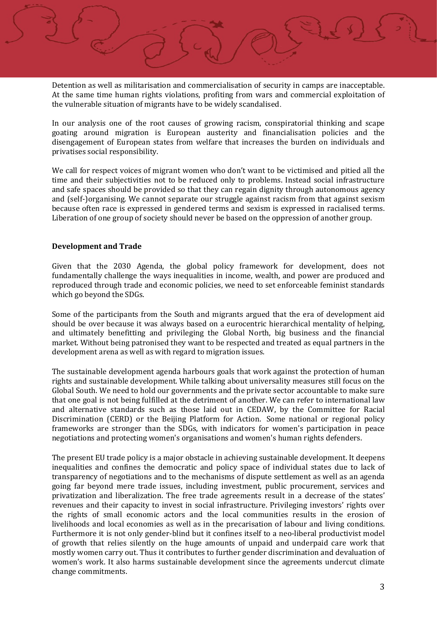Detention as well as militarisation and commercialisation of security in camps are inacceptable. At the same time human rights violations, profiting from wars and commercial exploitation of the vulnerable situation of migrants have to be widely scandalised.

In our analysis one of the root causes of growing racism, conspiratorial thinking and scape goating around migration is European austerity and financialisation policies and the disengagement of European states from welfare that increases the burden on individuals and privatises social responsibility.

We call for respect voices of migrant women who don't want to be victimised and pitied all the time and their subjectivities not to be reduced only to problems. Instead social infrastructure and safe spaces should be provided so that they can regain dignity through autonomous agency and (self-)organising. We cannot separate our struggle against racism from that against sexism because often race is expressed in gendered terms and sexism is expressed in racialised terms. Liberation of one group of society should never be based on the oppression of another group.

## Development and Trade

Given that the 2030 Agenda, the global policy framework for development, does not fundamentally challenge the ways inequalities in income, wealth, and power are produced and reproduced through trade and economic policies, we need to set enforceable feminist standards which go beyond the SDGs.

Some of the participants from the South and migrants argued that the era of development aid should be over because it was always based on a eurocentric hierarchical mentality of helping, and ultimately benefitting and privileging the Global North, big business and the financial market. Without being patronised they want to be respected and treated as equal partners in the development arena as well as with regard to migration issues.

The sustainable development agenda harbours goals that work against the protection of human rights and sustainable development. While talking about universality measures still focus on the Global South. We need to hold our governments and the private sector accountable to make sure that one goal is not being fulfilled at the detriment of another. We can refer to international law and alternative standards such as those laid out in CEDAW, by the Committee for Racial Discrimination (CERD) or the Beijing Platform for Action. Some national or regional policy frameworks are stronger than the SDGs, with indicators for women's participation in peace negotiations and protecting women's organisations and women's human rights defenders.

The present EU trade policy is a major obstacle in achieving sustainable development. It deepens inequalities and confines the democratic and policy space of individual states due to lack of transparency of negotiations and to the mechanisms of dispute settlement as well as an agenda going far beyond mere trade issues, including investment, public procurement, services and privatization and liberalization. The free trade agreements result in a decrease of the states' revenues and their capacity to invest in social infrastructure. Privileging investors' rights over the rights of small economic actors and the local communities results in the erosion of livelihoods and local economies as well as in the precarisation of labour and living conditions. Furthermore it is not only gender-blind but it confines itself to a neo-liberal productivist model of growth that relies silently on the huge amounts of unpaid and underpaid care work that mostly women carry out. Thus it contributes to further gender discrimination and devaluation of women's work. It also harms sustainable development since the agreements undercut climate change commitments.